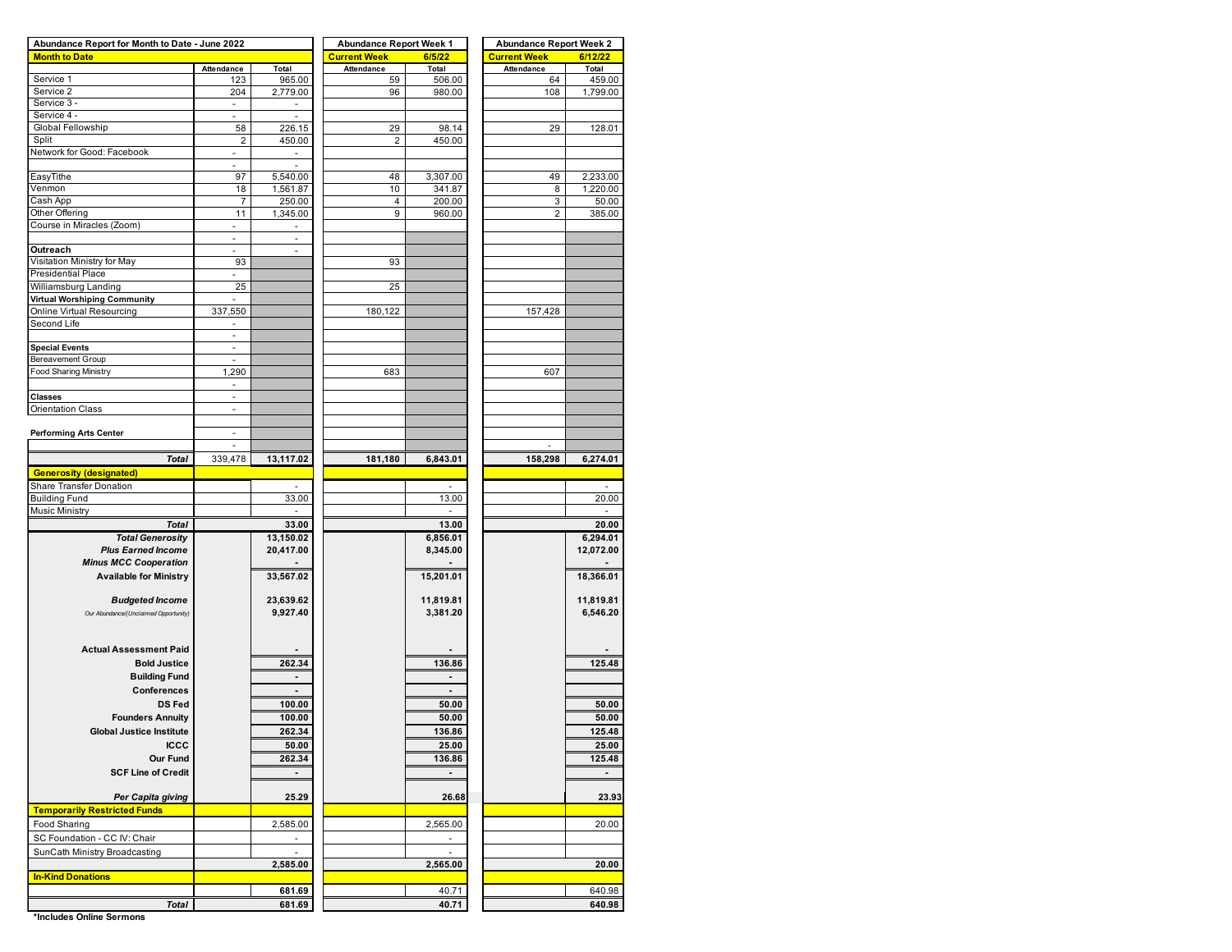| Abundance Report for Month to Date - June 2022 |                                |                          | <b>Abundance Report Week 1</b> |                | <b>Abundance Report Week 2</b> |                |  |  |  |  |
|------------------------------------------------|--------------------------------|--------------------------|--------------------------------|----------------|--------------------------------|----------------|--|--|--|--|
| <b>Month to Date</b>                           |                                |                          | <b>Current Week</b>            | 6/5/22         | <b>Current Week</b>            | 6/12/22        |  |  |  |  |
|                                                | Attendance                     | Total                    | Attendance                     | Total          | Attendance                     | Total          |  |  |  |  |
| Service 1                                      | 123                            | 965.00                   | 59                             | 506.00         | 64                             | 459.00         |  |  |  |  |
| Service 2                                      | 204                            | 2,779.00                 | 96                             | 980.00         | 108                            | 1,799.00       |  |  |  |  |
| Service 3 -                                    | $\blacksquare$                 |                          |                                |                |                                |                |  |  |  |  |
| Service 4 -                                    | $\overline{\phantom{a}}$       | ÷.                       |                                |                |                                |                |  |  |  |  |
| Global Fellowship                              | 58                             | 226.15                   | 29                             | 98.14          | 29                             | 128.01         |  |  |  |  |
| Split                                          | $\overline{\mathbf{c}}$        | 450.00                   | $\overline{2}$                 | 450.00         |                                |                |  |  |  |  |
| Network for Good: Facebook                     | $\overline{\phantom{a}}$       |                          |                                |                |                                |                |  |  |  |  |
|                                                | ä,                             |                          |                                |                |                                |                |  |  |  |  |
| EasyTithe                                      | 97                             | 5,540.00                 | 48                             | 3,307.00       | 49                             | 2,233.00       |  |  |  |  |
| Venmon                                         | 18                             | 1,561.87                 | 10                             | 341.87         | 8                              | 1,220.00       |  |  |  |  |
| Cash App                                       | 7                              | 250.00                   | 4                              | 200.00         | 3                              | 50.00          |  |  |  |  |
| Other Offering                                 | 11                             | 1,345.00                 | 9                              | 960.00         | 2                              | 385.00         |  |  |  |  |
| Course in Miracles (Zoom)                      |                                |                          |                                |                |                                |                |  |  |  |  |
|                                                | $\overline{\phantom{a}}$<br>ä, | $\overline{\phantom{a}}$ |                                |                |                                |                |  |  |  |  |
|                                                |                                |                          |                                |                |                                |                |  |  |  |  |
| Outreach                                       | ÷,                             | ä,                       |                                |                |                                |                |  |  |  |  |
| Visitation Ministry for May                    | 93                             |                          | 93                             |                |                                |                |  |  |  |  |
| Presidential Place                             | $\omega$                       |                          |                                |                |                                |                |  |  |  |  |
| Williamsburg Landing                           | 25                             |                          | 25                             |                |                                |                |  |  |  |  |
| Virtual Worshiping Community                   |                                |                          |                                |                |                                |                |  |  |  |  |
| Online Virtual Resourcing                      | 337,550                        |                          | 180,122                        |                | 157,428                        |                |  |  |  |  |
| Second Life                                    | $\overline{\phantom{a}}$       |                          |                                |                |                                |                |  |  |  |  |
|                                                | $\omega$                       |                          |                                |                |                                |                |  |  |  |  |
| <b>Special Events</b>                          | $\overline{\phantom{a}}$       |                          |                                |                |                                |                |  |  |  |  |
| <b>Bereavement Group</b>                       |                                |                          |                                |                |                                |                |  |  |  |  |
| <b>Food Sharing Ministry</b>                   | 1,290                          |                          | 683                            |                | 607                            |                |  |  |  |  |
|                                                | $\overline{\phantom{a}}$       |                          |                                |                |                                |                |  |  |  |  |
| <b>Classes</b>                                 | $\sim$                         |                          |                                |                |                                |                |  |  |  |  |
| Orientation Class                              |                                |                          |                                |                |                                |                |  |  |  |  |
|                                                | $\blacksquare$                 |                          |                                |                |                                |                |  |  |  |  |
|                                                |                                |                          |                                |                |                                |                |  |  |  |  |
| <b>Performing Arts Center</b>                  | ä,                             |                          |                                |                |                                |                |  |  |  |  |
|                                                | $\blacksquare$                 |                          |                                |                |                                |                |  |  |  |  |
| <b>Total</b>                                   | 339,478                        | 13,117.02                | 181,180                        | 6,843.01       | 158,298                        | 6,274.01       |  |  |  |  |
| <b>Generosity (designated)</b>                 |                                |                          |                                |                |                                |                |  |  |  |  |
| Share Transfer Donation                        |                                |                          |                                |                |                                |                |  |  |  |  |
| <b>Building Fund</b>                           |                                | 33.00                    |                                | 13.00          |                                | 20.00          |  |  |  |  |
| Music Ministry                                 |                                |                          |                                |                |                                |                |  |  |  |  |
|                                                |                                |                          |                                |                |                                |                |  |  |  |  |
| <b>Total</b>                                   |                                | 33.00                    |                                | 13.00          |                                | 20.00          |  |  |  |  |
| <b>Total Generosity</b>                        |                                | 13,150.02                |                                | 6,856.01       |                                | 6,294.01       |  |  |  |  |
| <b>Plus Earned Income</b>                      |                                | 20,417.00                |                                | 8,345.00       |                                | 12,072.00      |  |  |  |  |
| <b>Minus MCC Cooperation</b>                   |                                |                          |                                |                |                                |                |  |  |  |  |
| <b>Available for Ministry</b>                  |                                | 33,567.02                |                                | 15,201.01      |                                | 18,366.01      |  |  |  |  |
|                                                |                                |                          |                                |                |                                |                |  |  |  |  |
| <b>Budgeted Income</b>                         |                                | 23,639.62                |                                | 11,819.81      |                                | 11,819.81      |  |  |  |  |
| Our Abundance/(Unclaimed Opportunity)          |                                | 9,927.40                 |                                | 3,381.20       |                                | 6,546.20       |  |  |  |  |
|                                                |                                |                          |                                |                |                                |                |  |  |  |  |
|                                                |                                |                          |                                |                |                                |                |  |  |  |  |
| <b>Actual Assessment Paid</b>                  |                                |                          |                                |                |                                |                |  |  |  |  |
|                                                |                                |                          |                                |                |                                |                |  |  |  |  |
| <b>Bold Justice</b>                            |                                | 262.34                   |                                | 136.86         |                                | 125.48         |  |  |  |  |
| <b>Building Fund</b>                           |                                |                          |                                |                |                                |                |  |  |  |  |
| Conferences                                    |                                |                          |                                |                |                                |                |  |  |  |  |
| <b>DS Fed</b>                                  |                                | 100.00                   |                                | 50.00          |                                | 50.00          |  |  |  |  |
| <b>Founders Annuity</b>                        |                                | 100.00                   |                                |                |                                |                |  |  |  |  |
|                                                |                                |                          |                                | 50.00          |                                | 50.00          |  |  |  |  |
| <b>Global Justice Institute</b>                |                                | 262.34                   |                                | 136.86         |                                | 125.48         |  |  |  |  |
| <b>ICCC</b>                                    |                                | 50.00                    |                                | 25.00          |                                | 25.00          |  |  |  |  |
| Our Fund                                       |                                | 262.34                   |                                | 136.86         |                                | 125.48         |  |  |  |  |
| <b>SCF Line of Credit</b>                      |                                | ٠                        |                                | $\overline{a}$ |                                | $\overline{a}$ |  |  |  |  |
|                                                |                                |                          |                                |                |                                |                |  |  |  |  |
| Per Capita giving                              |                                | 25.29                    |                                | 26.68          |                                | 23.93          |  |  |  |  |
|                                                |                                |                          |                                |                |                                |                |  |  |  |  |
| <b>Temporarily Restricted Funds</b>            |                                |                          |                                |                |                                |                |  |  |  |  |
| Food Sharing                                   |                                | 2,585.00                 |                                | 2,565.00       |                                | 20.00          |  |  |  |  |
| SC Foundation - CC IV: Chair                   |                                | $\sim$                   |                                | ٠              |                                |                |  |  |  |  |
| SunCath Ministry Broadcasting                  |                                | $\sim$                   |                                | ä,             |                                |                |  |  |  |  |
|                                                |                                | 2,585.00                 |                                | 2,565.00       |                                | 20.00          |  |  |  |  |
|                                                |                                |                          |                                |                |                                |                |  |  |  |  |
| <b>In-Kind Donations</b>                       |                                |                          |                                |                |                                |                |  |  |  |  |
|                                                |                                | 681.69                   |                                | 40.71          |                                | 640.98         |  |  |  |  |
| <b>Total</b>                                   |                                | 681.69                   |                                | 40.71          |                                | 640.98         |  |  |  |  |

**\*Includes Online Sermons**